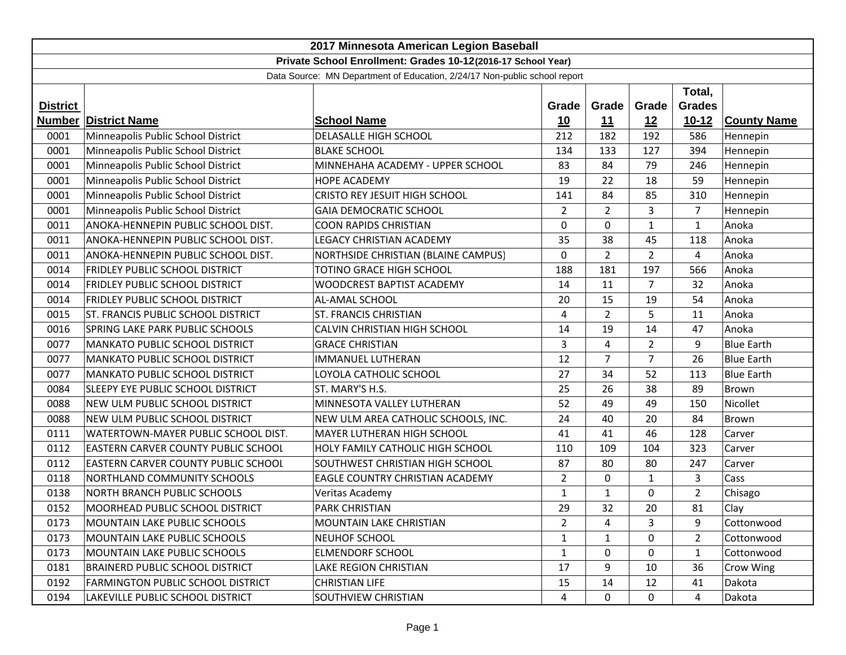| 2017 Minnesota American Legion Baseball                                   |                                            |                                     |                |                |                |                |                    |
|---------------------------------------------------------------------------|--------------------------------------------|-------------------------------------|----------------|----------------|----------------|----------------|--------------------|
| Private School Enrollment: Grades 10-12(2016-17 School Year)              |                                            |                                     |                |                |                |                |                    |
| Data Source: MN Department of Education, 2/24/17 Non-public school report |                                            |                                     |                |                |                |                |                    |
|                                                                           | Total,                                     |                                     |                |                |                |                |                    |
| <b>District</b>                                                           |                                            |                                     | Grade          | Grade          | Grade          | <b>Grades</b>  |                    |
| Number                                                                    | <b>District Name</b>                       | <b>School Name</b>                  | 10             | 11             | 12             | $10 - 12$      | <b>County Name</b> |
| 0001                                                                      | Minneapolis Public School District         | <b>DELASALLE HIGH SCHOOL</b>        | 212            | 182            | 192            | 586            | Hennepin           |
| 0001                                                                      | Minneapolis Public School District         | <b>BLAKE SCHOOL</b>                 | 134            | 133            | 127            | 394            | Hennepin           |
| 0001                                                                      | Minneapolis Public School District         | MINNEHAHA ACADEMY - UPPER SCHOOL    | 83             | 84             | 79             | 246            | Hennepin           |
| 0001                                                                      | Minneapolis Public School District         | <b>HOPE ACADEMY</b>                 | 19             | 22             | 18             | 59             | Hennepin           |
| 0001                                                                      | Minneapolis Public School District         | CRISTO REY JESUIT HIGH SCHOOL       | 141            | 84             | 85             | 310            | Hennepin           |
| 0001                                                                      | Minneapolis Public School District         | <b>GAIA DEMOCRATIC SCHOOL</b>       | $\overline{2}$ | $\overline{2}$ | 3              | 7              | Hennepin           |
| 0011                                                                      | ANOKA-HENNEPIN PUBLIC SCHOOL DIST.         | <b>COON RAPIDS CHRISTIAN</b>        | 0              | 0              | $\mathbf{1}$   | $\mathbf{1}$   | Anoka              |
| 0011                                                                      | ANOKA-HENNEPIN PUBLIC SCHOOL DIST.         | LEGACY CHRISTIAN ACADEMY            | 35             | 38             | 45             | 118            | Anoka              |
| 0011                                                                      | ANOKA-HENNEPIN PUBLIC SCHOOL DIST.         | NORTHSIDE CHRISTIAN (BLAINE CAMPUS) | 0              | $\overline{2}$ | $\overline{2}$ | 4              | Anoka              |
| 0014                                                                      | <b>FRIDLEY PUBLIC SCHOOL DISTRICT</b>      | TOTINO GRACE HIGH SCHOOL            | 188            | 181            | 197            | 566            | Anoka              |
| 0014                                                                      | FRIDLEY PUBLIC SCHOOL DISTRICT             | WOODCREST BAPTIST ACADEMY           | 14             | 11             | $\overline{7}$ | 32             | Anoka              |
| 0014                                                                      | <b>FRIDLEY PUBLIC SCHOOL DISTRICT</b>      | AL-AMAL SCHOOL                      | 20             | 15             | 19             | 54             | Anoka              |
| 0015                                                                      | <b>ST. FRANCIS PUBLIC SCHOOL DISTRICT</b>  | ST. FRANCIS CHRISTIAN               | 4              | $\overline{2}$ | 5              | 11             | Anoka              |
| 0016                                                                      | <b>SPRING LAKE PARK PUBLIC SCHOOLS</b>     | CALVIN CHRISTIAN HIGH SCHOOL        | 14             | 19             | 14             | 47             | Anoka              |
| 0077                                                                      | <b>MANKATO PUBLIC SCHOOL DISTRICT</b>      | <b>GRACE CHRISTIAN</b>              | 3              | 4              | $\overline{2}$ | 9              | <b>Blue Earth</b>  |
| 0077                                                                      | <b>MANKATO PUBLIC SCHOOL DISTRICT</b>      | <b>IMMANUEL LUTHERAN</b>            | 12             | $\overline{7}$ | 7              | 26             | <b>Blue Earth</b>  |
| 0077                                                                      | <b>MANKATO PUBLIC SCHOOL DISTRICT</b>      | LOYOLA CATHOLIC SCHOOL              | 27             | 34             | 52             | 113            | <b>Blue Earth</b>  |
| 0084                                                                      | SLEEPY EYE PUBLIC SCHOOL DISTRICT          | ST. MARY'S H.S.                     | 25             | 26             | 38             | 89             | Brown              |
| 0088                                                                      | NEW ULM PUBLIC SCHOOL DISTRICT             | MINNESOTA VALLEY LUTHERAN           | 52             | 49             | 49             | 150            | Nicollet           |
| 0088                                                                      | NEW ULM PUBLIC SCHOOL DISTRICT             | NEW ULM AREA CATHOLIC SCHOOLS, INC. | 24             | 40             | 20             | 84             | Brown              |
| 0111                                                                      | WATERTOWN-MAYER PUBLIC SCHOOL DIST.        | MAYER LUTHERAN HIGH SCHOOL          | 41             | 41             | 46             | 128            | Carver             |
| 0112                                                                      | <b>EASTERN CARVER COUNTY PUBLIC SCHOOL</b> | HOLY FAMILY CATHOLIC HIGH SCHOOL    | 110            | 109            | 104            | 323            | Carver             |
| 0112                                                                      | EASTERN CARVER COUNTY PUBLIC SCHOOL        | SOUTHWEST CHRISTIAN HIGH SCHOOL     | 87             | 80             | 80             | 247            | Carver             |
| 0118                                                                      | <b>NORTHLAND COMMUNITY SCHOOLS</b>         | EAGLE COUNTRY CHRISTIAN ACADEMY     | $\overline{2}$ | 0              | $\mathbf{1}$   | 3              | Cass               |
| 0138                                                                      | <b>NORTH BRANCH PUBLIC SCHOOLS</b>         | Veritas Academy                     | $\mathbf{1}$   | $\mathbf{1}$   | $\Omega$       | $\overline{2}$ | Chisago            |
| 0152                                                                      | MOORHEAD PUBLIC SCHOOL DISTRICT            | <b>PARK CHRISTIAN</b>               | 29             | 32             | 20             | 81             | Clay               |
| 0173                                                                      | <b>MOUNTAIN LAKE PUBLIC SCHOOLS</b>        | MOUNTAIN LAKE CHRISTIAN             | $\overline{2}$ | 4              | 3              | 9              | Cottonwood         |
| 0173                                                                      | <b>MOUNTAIN LAKE PUBLIC SCHOOLS</b>        | <b>NEUHOF SCHOOL</b>                | $\mathbf{1}$   | $\mathbf{1}$   | $\Omega$       | $\overline{2}$ | Cottonwood         |
| 0173                                                                      | <b>MOUNTAIN LAKE PUBLIC SCHOOLS</b>        | <b>ELMENDORF SCHOOL</b>             | $\mathbf{1}$   | 0              | 0              | $\mathbf{1}$   | Cottonwood         |
| 0181                                                                      | <b>BRAINERD PUBLIC SCHOOL DISTRICT</b>     | LAKE REGION CHRISTIAN               | 17             | 9              | 10             | 36             | Crow Wing          |
| 0192                                                                      | FARMINGTON PUBLIC SCHOOL DISTRICT          | <b>CHRISTIAN LIFE</b>               | 15             | 14             | 12             | 41             | Dakota             |
| 0194                                                                      | LAKEVILLE PUBLIC SCHOOL DISTRICT           | SOUTHVIEW CHRISTIAN                 | 4              | 0              | 0              | 4              | Dakota             |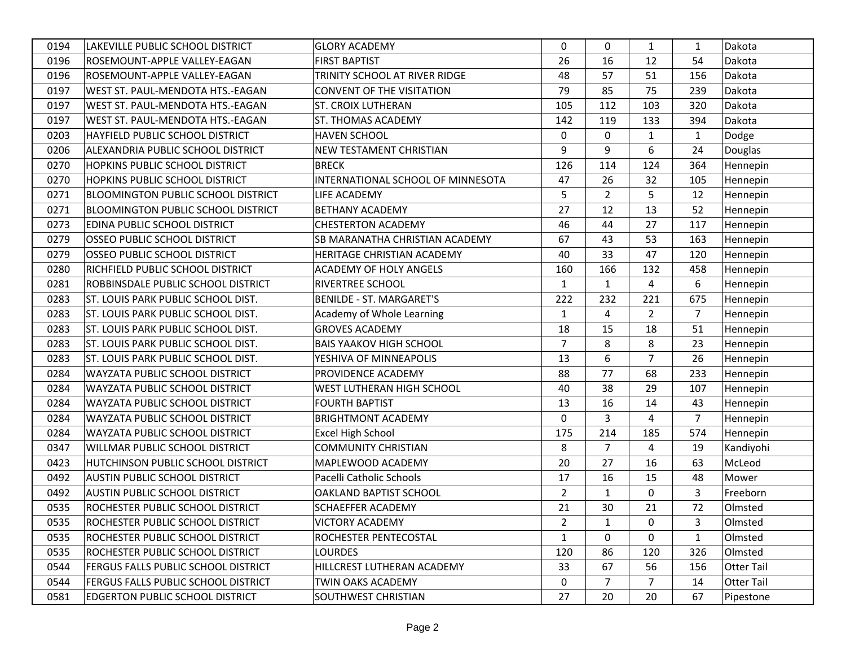| 0194 | LAKEVILLE PUBLIC SCHOOL DISTRICT           | <b>GLORY ACADEMY</b>              | $\Omega$       | $\Omega$       | $\mathbf{1}$   | $\mathbf{1}$   | Dakota            |
|------|--------------------------------------------|-----------------------------------|----------------|----------------|----------------|----------------|-------------------|
| 0196 | ROSEMOUNT-APPLE VALLEY-EAGAN               | <b>FIRST BAPTIST</b>              | 26             | 16             | 12             | 54             | Dakota            |
| 0196 | ROSEMOUNT-APPLE VALLEY-EAGAN               | TRINITY SCHOOL AT RIVER RIDGE     | 48             | 57             | 51             | 156            | Dakota            |
| 0197 | WEST ST. PAUL-MENDOTA HTS.-EAGAN           | <b>CONVENT OF THE VISITATION</b>  | 79             | 85             | 75             | 239            | Dakota            |
| 0197 | WEST ST. PAUL-MENDOTA HTS.-EAGAN           | <b>ST. CROIX LUTHERAN</b>         | 105            | 112            | 103            | 320            | Dakota            |
| 0197 | WEST ST. PAUL-MENDOTA HTS.-EAGAN           | ST. THOMAS ACADEMY                | 142            | 119            | 133            | 394            | Dakota            |
| 0203 | HAYFIELD PUBLIC SCHOOL DISTRICT            | <b>HAVEN SCHOOL</b>               | $\mathbf 0$    | $\Omega$       | $\mathbf{1}$   | $\mathbf{1}$   | Dodge             |
| 0206 | ALEXANDRIA PUBLIC SCHOOL DISTRICT          | NEW TESTAMENT CHRISTIAN           | 9              | 9              | 6              | 24             | Douglas           |
| 0270 | HOPKINS PUBLIC SCHOOL DISTRICT             | <b>BRECK</b>                      | 126            | 114            | 124            | 364            | Hennepin          |
| 0270 | HOPKINS PUBLIC SCHOOL DISTRICT             | INTERNATIONAL SCHOOL OF MINNESOTA | 47             | 26             | 32             | 105            | Hennepin          |
| 0271 | <b>BLOOMINGTON PUBLIC SCHOOL DISTRICT</b>  | LIFE ACADEMY                      | 5              | $\overline{2}$ | 5              | 12             | Hennepin          |
| 0271 | <b>BLOOMINGTON PUBLIC SCHOOL DISTRICT</b>  | <b>BETHANY ACADEMY</b>            | 27             | 12             | 13             | 52             | Hennepin          |
| 0273 | <b>EDINA PUBLIC SCHOOL DISTRICT</b>        | <b>CHESTERTON ACADEMY</b>         | 46             | 44             | 27             | 117            | Hennepin          |
| 0279 | <b>OSSEO PUBLIC SCHOOL DISTRICT</b>        | SB MARANATHA CHRISTIAN ACADEMY    | 67             | 43             | 53             | 163            | Hennepin          |
| 0279 | <b>OSSEO PUBLIC SCHOOL DISTRICT</b>        | HERITAGE CHRISTIAN ACADEMY        | 40             | 33             | 47             | 120            | Hennepin          |
| 0280 | RICHFIELD PUBLIC SCHOOL DISTRICT           | ACADEMY OF HOLY ANGELS            | 160            | 166            | 132            | 458            | Hennepin          |
| 0281 | ROBBINSDALE PUBLIC SCHOOL DISTRICT         | <b>RIVERTREE SCHOOL</b>           | $\mathbf{1}$   | $\mathbf{1}$   | 4              | 6              | Hennepin          |
| 0283 | ST. LOUIS PARK PUBLIC SCHOOL DIST.         | <b>BENILDE - ST. MARGARET'S</b>   | 222            | 232            | 221            | 675            | Hennepin          |
| 0283 | ST. LOUIS PARK PUBLIC SCHOOL DIST.         | Academy of Whole Learning         | $\mathbf{1}$   | 4              | $\overline{2}$ | $\overline{7}$ | Hennepin          |
| 0283 | ST. LOUIS PARK PUBLIC SCHOOL DIST.         | <b>GROVES ACADEMY</b>             | 18             | 15             | 18             | 51             | Hennepin          |
| 0283 | <b>ST. LOUIS PARK PUBLIC SCHOOL DIST.</b>  | <b>BAIS YAAKOV HIGH SCHOOL</b>    | $\overline{7}$ | 8              | 8              | 23             | Hennepin          |
| 0283 | ST. LOUIS PARK PUBLIC SCHOOL DIST.         | YESHIVA OF MINNEAPOLIS            | 13             | 6              | $\overline{7}$ | 26             | Hennepin          |
| 0284 | WAYZATA PUBLIC SCHOOL DISTRICT             | PROVIDENCE ACADEMY                | 88             | 77             | 68             | 233            | Hennepin          |
| 0284 | <b>WAYZATA PUBLIC SCHOOL DISTRICT</b>      | WEST LUTHERAN HIGH SCHOOL         | 40             | 38             | 29             | 107            | Hennepin          |
| 0284 | WAYZATA PUBLIC SCHOOL DISTRICT             | <b>FOURTH BAPTIST</b>             | 13             | 16             | 14             | 43             | Hennepin          |
| 0284 | WAYZATA PUBLIC SCHOOL DISTRICT             | <b>BRIGHTMONT ACADEMY</b>         | 0              | 3              | 4              | $\overline{7}$ | Hennepin          |
| 0284 | <b>WAYZATA PUBLIC SCHOOL DISTRICT</b>      | <b>Excel High School</b>          | 175            | 214            | 185            | 574            | Hennepin          |
| 0347 | WILLMAR PUBLIC SCHOOL DISTRICT             | <b>COMMUNITY CHRISTIAN</b>        | 8              | $\overline{7}$ | 4              | 19             | Kandiyohi         |
| 0423 | HUTCHINSON PUBLIC SCHOOL DISTRICT          | MAPLEWOOD ACADEMY                 | 20             | 27             | 16             | 63             | McLeod            |
| 0492 | <b>AUSTIN PUBLIC SCHOOL DISTRICT</b>       | Pacelli Catholic Schools          | 17             | 16             | 15             | 48             | Mower             |
| 0492 | <b>AUSTIN PUBLIC SCHOOL DISTRICT</b>       | OAKLAND BAPTIST SCHOOL            | 2              | $\mathbf{1}$   | 0              | 3              | Freeborn          |
| 0535 | ROCHESTER PUBLIC SCHOOL DISTRICT           | SCHAEFFER ACADEMY                 | 21             | 30             | 21             | 72             | Olmsted           |
| 0535 | <b>ROCHESTER PUBLIC SCHOOL DISTRICT</b>    | <b>VICTORY ACADEMY</b>            | $\overline{2}$ | $\mathbf{1}$   | $\mathbf 0$    | 3              | Olmsted           |
| 0535 | ROCHESTER PUBLIC SCHOOL DISTRICT           | ROCHESTER PENTECOSTAL             | 1              | $\mathbf{0}$   | 0              | 1              | Olmsted           |
| 0535 | ROCHESTER PUBLIC SCHOOL DISTRICT           | <b>LOURDES</b>                    | 120            | 86             | 120            | 326            | Olmsted           |
| 0544 | FERGUS FALLS PUBLIC SCHOOL DISTRICT        | HILLCREST LUTHERAN ACADEMY        | 33             | 67             | 56             | 156            | <b>Otter Tail</b> |
| 0544 | <b>FERGUS FALLS PUBLIC SCHOOL DISTRICT</b> | <b>TWIN OAKS ACADEMY</b>          | 0              | $\overline{7}$ | $\overline{7}$ | 14             | <b>Otter Tail</b> |
| 0581 | <b>EDGERTON PUBLIC SCHOOL DISTRICT</b>     | <b>SOUTHWEST CHRISTIAN</b>        | 27             | 20             | 20             | 67             | Pipestone         |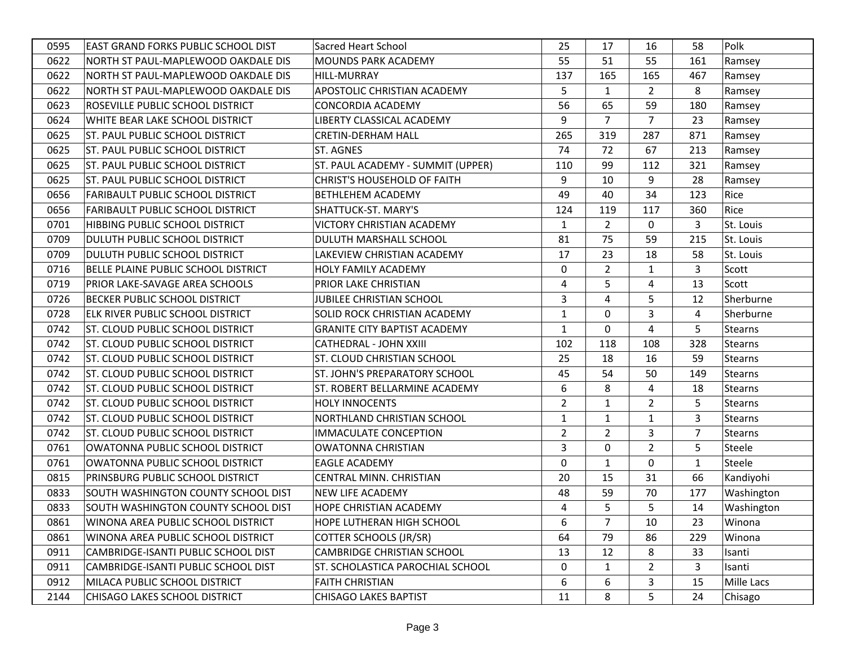| 0595 | <b>EAST GRAND FORKS PUBLIC SCHOOL DIST</b> | <b>Sacred Heart School</b>              | 25             | 17             | 16             | 58             | Polk           |
|------|--------------------------------------------|-----------------------------------------|----------------|----------------|----------------|----------------|----------------|
| 0622 | NORTH ST PAUL-MAPLEWOOD OAKDALE DIS        | <b>MOUNDS PARK ACADEMY</b>              | 55             | 51             | 55             | 161            | Ramsey         |
| 0622 | NORTH ST PAUL-MAPLEWOOD OAKDALE DIS        | <b>HILL-MURRAY</b>                      | 137            | 165            | 165            | 467            | Ramsey         |
| 0622 | NORTH ST PAUL-MAPLEWOOD OAKDALE DIS        | APOSTOLIC CHRISTIAN ACADEMY             | 5              | $\mathbf{1}$   | $\overline{2}$ | 8              | Ramsey         |
| 0623 | ROSEVILLE PUBLIC SCHOOL DISTRICT           | <b>CONCORDIA ACADEMY</b>                | 56             | 65             | 59             | 180            | Ramsey         |
| 0624 | WHITE BEAR LAKE SCHOOL DISTRICT            | LIBERTY CLASSICAL ACADEMY               | 9              | $\overline{7}$ | $\overline{7}$ | 23             | Ramsey         |
| 0625 | <b>ST. PAUL PUBLIC SCHOOL DISTRICT</b>     | <b>CRETIN-DERHAM HALL</b>               | 265            | 319            | 287            | 871            | Ramsey         |
| 0625 | <b>ST. PAUL PUBLIC SCHOOL DISTRICT</b>     | ST. AGNES                               | 74             | 72             | 67             | 213            | Ramsey         |
| 0625 | <b>ST. PAUL PUBLIC SCHOOL DISTRICT</b>     | ST. PAUL ACADEMY - SUMMIT (UPPER)       | 110            | 99             | 112            | 321            | Ramsey         |
| 0625 | <b>ST. PAUL PUBLIC SCHOOL DISTRICT</b>     | <b>CHRIST'S HOUSEHOLD OF FAITH</b>      | 9              | 10             | 9              | 28             | Ramsey         |
| 0656 | <b>FARIBAULT PUBLIC SCHOOL DISTRICT</b>    | BETHLEHEM ACADEMY                       | 49             | 40             | 34             | 123            | Rice           |
| 0656 | <b>FARIBAULT PUBLIC SCHOOL DISTRICT</b>    | SHATTUCK-ST. MARY'S                     | 124            | 119            | 117            | 360            | Rice           |
| 0701 | HIBBING PUBLIC SCHOOL DISTRICT             | <b>VICTORY CHRISTIAN ACADEMY</b>        | $\mathbf{1}$   | $\overline{2}$ | 0              | 3              | St. Louis      |
| 0709 | DULUTH PUBLIC SCHOOL DISTRICT              | DULUTH MARSHALL SCHOOL                  | 81             | 75             | 59             | 215            | St. Louis      |
| 0709 | DULUTH PUBLIC SCHOOL DISTRICT              | LAKEVIEW CHRISTIAN ACADEMY              | 17             | 23             | 18             | 58             | St. Louis      |
| 0716 | BELLE PLAINE PUBLIC SCHOOL DISTRICT        | <b>HOLY FAMILY ACADEMY</b>              | 0              | $\overline{2}$ | $\mathbf{1}$   | 3              | Scott          |
| 0719 | PRIOR LAKE-SAVAGE AREA SCHOOLS             | PRIOR LAKE CHRISTIAN                    | 4              | 5              | 4              | 13             | Scott          |
| 0726 | <b>BECKER PUBLIC SCHOOL DISTRICT</b>       | <b>JUBILEE CHRISTIAN SCHOOL</b>         | 3              | 4              | 5              | 12             | Sherburne      |
| 0728 | ELK RIVER PUBLIC SCHOOL DISTRICT           | SOLID ROCK CHRISTIAN ACADEMY            | 1              | $\Omega$       | 3              | 4              | Sherburne      |
| 0742 | <b>ST. CLOUD PUBLIC SCHOOL DISTRICT</b>    | <b>GRANITE CITY BAPTIST ACADEMY</b>     | $\mathbf{1}$   | 0              | 4              | 5              | Stearns        |
| 0742 | <b>ST. CLOUD PUBLIC SCHOOL DISTRICT</b>    | <b>CATHEDRAL - JOHN XXIII</b>           | 102            | 118            | 108            | 328            | <b>Stearns</b> |
| 0742 | <b>ST. CLOUD PUBLIC SCHOOL DISTRICT</b>    | ST. CLOUD CHRISTIAN SCHOOL              | 25             | 18             | 16             | 59             | <b>Stearns</b> |
| 0742 | <b>ST. CLOUD PUBLIC SCHOOL DISTRICT</b>    | ST. JOHN'S PREPARATORY SCHOOL           | 45             | 54             | 50             | 149            | Stearns        |
| 0742 | <b>ST. CLOUD PUBLIC SCHOOL DISTRICT</b>    | ST. ROBERT BELLARMINE ACADEMY           | 6              | 8              | 4              | 18             | <b>Stearns</b> |
| 0742 | <b>ST. CLOUD PUBLIC SCHOOL DISTRICT</b>    | <b>HOLY INNOCENTS</b>                   | $\overline{2}$ | 1              | $\overline{2}$ | 5              | <b>Stearns</b> |
| 0742 | <b>ST. CLOUD PUBLIC SCHOOL DISTRICT</b>    | NORTHLAND CHRISTIAN SCHOOL              | $\mathbf{1}$   | $\mathbf{1}$   | $\mathbf{1}$   | 3              | <b>Stearns</b> |
| 0742 | <b>ST. CLOUD PUBLIC SCHOOL DISTRICT</b>    | <b>IMMACULATE CONCEPTION</b>            | $\overline{2}$ | $\overline{2}$ | 3              | $\overline{7}$ | <b>Stearns</b> |
| 0761 | OWATONNA PUBLIC SCHOOL DISTRICT            | <b>OWATONNA CHRISTIAN</b>               | 3              | $\Omega$       | $\overline{2}$ | 5              | Steele         |
| 0761 | OWATONNA PUBLIC SCHOOL DISTRICT            | <b>EAGLE ACADEMY</b>                    | $\Omega$       | $\mathbf{1}$   | 0              | $\mathbf{1}$   | Steele         |
| 0815 | PRINSBURG PUBLIC SCHOOL DISTRICT           | CENTRAL MINN. CHRISTIAN                 | 20             | 15             | 31             | 66             | Kandiyohi      |
| 0833 | SOUTH WASHINGTON COUNTY SCHOOL DIST        | <b>NEW LIFE ACADEMY</b>                 | 48             | 59             | 70             | 177            | Washington     |
| 0833 | SOUTH WASHINGTON COUNTY SCHOOL DIST        | HOPE CHRISTIAN ACADEMY                  | 4              | 5              | 5              | 14             | Washington     |
| 0861 | WINONA AREA PUBLIC SCHOOL DISTRICT         | <b>HOPE LUTHERAN HIGH SCHOOL</b>        | 6              | 7              | 10             | 23             | Winona         |
| 0861 | WINONA AREA PUBLIC SCHOOL DISTRICT         | <b>COTTER SCHOOLS (JR/SR)</b>           | 64             | 79             | 86             | 229            | Winona         |
| 0911 | CAMBRIDGE-ISANTI PUBLIC SCHOOL DIST        | <b>CAMBRIDGE CHRISTIAN SCHOOL</b>       | 13             | 12             | 8              | 33             | Isanti         |
| 0911 | CAMBRIDGE-ISANTI PUBLIC SCHOOL DIST        | <b>ST. SCHOLASTICA PAROCHIAL SCHOOL</b> | 0              | $\mathbf{1}$   | $\overline{2}$ | 3              | Isanti         |
| 0912 | MILACA PUBLIC SCHOOL DISTRICT              | <b>FAITH CHRISTIAN</b>                  | 6              | 6              | 3              | 15             | Mille Lacs     |
| 2144 | <b>CHISAGO LAKES SCHOOL DISTRICT</b>       | <b>CHISAGO LAKES BAPTIST</b>            | 11             | 8              | 5              | 24             | Chisago        |